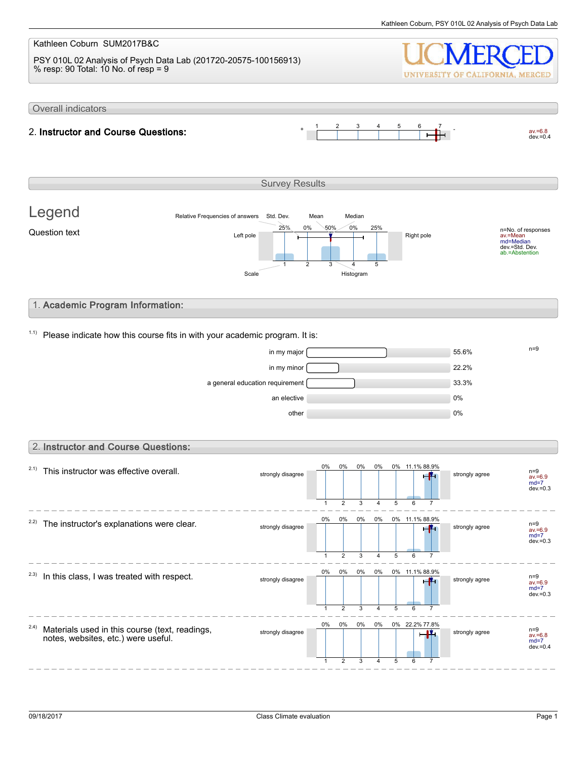#### Kathleen Coburn SUM2017B&C PSY 010L 02 Analysis of Psych Data Lab (201720-20575-100156913) % resp: 90 Total: 10 No. of resp = 9 UNIVERSITY OF CALIFORNIA, MERCED Overall indicators 1 2 3 4 5 6 7  $av.=6.8$ <br>dev.=0.4 2. Instructor and Course Questions: Survey Results Legend Relative Frequencies of answers Std. Dev. Mean Median 0% 0% 50% 25% 25% n=No. of responses av.=Mean md=Median Question text  $L$  and  $L$  the  $\frac{L}{L}$  and  $\frac{L}{L}$  and  $\frac{L}{L}$  Right pole dev.=Std. Dev. ab.=Abstention 1 2 3 4 5 Scale Histogram 1. Academic Program Information:  $1.1$ ) Please indicate how this course fits in with your academic program. It is:  $\frac{m}{s}$  in my major  $\frac{m}{s}$  $\frac{1}{22.2\%}$  in my minor  $\sim$ a general education requirement **12.1 million** 33.3% an elective and the contract of the contract of the contract of the contract of the contract of the contract of the contract of the contract of the contract of the contract of the contract of the contract of the contract o other  $0\%$ 2. Instructor and Course Questions: 0% 0% 0% 0% 0% 11.1% 88.9%  $2.1)$  This instructor was effective overall. strongly disagree strongly agree n=9 av.=6.9 md=7 dev.=0.3  $\overline{2}$ 3 5 1 4 6 7 0% 0% 0% 0% 0% 11.1% 88.9%  $2.2$ ) The instructor's explanations were clear. strongly disagree strongly agree n=9 av.=6.9 md=7  $dev = 0.3$ 1 2 3 4 5  $\overline{6}$ 7 . . . 0% 0% 0% 0% 0% 11.1% 88.9%  $2.3)$  In this class, I was treated with respect. n=9<br>av.=6.9 strongly disagree strongly agree  $md=7$ dev.= $0.3$ 1 2 3 4 5 6 7 0% 0% 0% 0% 0% 22.2% 77.8% 2.4) Materials used in this course (text, readings, strongly disagree strongly disagree notes, websites, etc.) were useful. av.=6.8 md=7  $dev = 0.4$ 1 2 3 4 5 6 7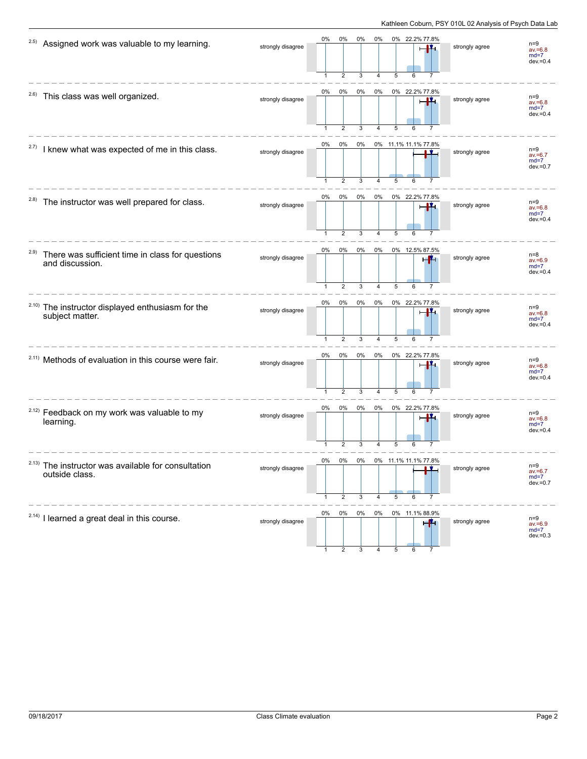| 2.5)  | Assigned work was valuable to my learning.                           | strongly disagree | 0%                 | 0%<br>$\overline{2}$    | 0%<br>3 | 0%         | 0% 22.2% 77.8%<br>5             | strongly agree | $n=9$<br>$av = 6.8$<br>$md=7$<br>$dev = 0.4$ |
|-------|----------------------------------------------------------------------|-------------------|--------------------|-------------------------|---------|------------|---------------------------------|----------------|----------------------------------------------|
| 2.6)  | This class was well organized.                                       | strongly disagree | 0%<br>$\mathbf{1}$ | 0%<br>$\overline{2}$    | 0%<br>3 | 0%<br>4    | 0% 22.2% 77.8%<br>LV.<br>5      | strongly agree | $n=9$<br>$av = 6.8$<br>$md=7$<br>$dev = 0.4$ |
| 2.7)  | I knew what was expected of me in this class.                        | strongly disagree | 0%                 | 0%<br>$\overline{2}$    | 0%<br>3 |            | 0% 11.1% 11.1% 77.8%<br>5       | strongly agree | $n=9$<br>$av = 6.7$<br>$md=7$<br>$dev = 0.7$ |
| 2.8)  | The instructor was well prepared for class.                          | strongly disagree | 0%                 | 0%<br>$\overline{2}$    | 0%<br>3 | 0%<br>4    | 0% 22.2% 77.8%<br>5<br>6        | strongly agree | $n=9$<br>$av = 6.8$<br>$md=7$<br>$dev = 0.4$ |
| 2.9)  | There was sufficient time in class for questions<br>and discussion.  | strongly disagree | 0%<br>$\mathbf{1}$ | 0%<br>$\overline{2}$    | 0%<br>3 | 0%<br>4    | 0% 12.5% 87.5%<br>e M<br>5<br>6 | strongly agree | $n=8$<br>$av = 6.9$<br>$md=7$<br>$dev = 0.4$ |
| 2.10) | The instructor displayed enthusiasm for the<br>subject matter.       | strongly disagree | 0%<br>$\mathbf{1}$ | $0\%$<br>$\overline{2}$ | 0%<br>3 | $0\%$<br>4 | 0% 22.2% 77.8%<br>LL.<br>5      | strongly agree | $n=9$<br>$av = 6.8$<br>$md=7$<br>$dev = 0.4$ |
|       | <sup>2.11)</sup> Methods of evaluation in this course were fair.     | strongly disagree | 0%                 | 0%<br>$\overline{2}$    | 0%<br>3 | 0%<br>4    | 0% 22.2% 77.8%<br>5<br>6        | strongly agree | $n=9$<br>$av = 6.8$<br>$md=7$<br>$dev = 0.4$ |
|       | <sup>2.12)</sup> Feedback on my work was valuable to my<br>learning. | strongly disagree | 0%<br>-1           | 0%<br>$\overline{2}$    | 0%<br>3 | 0%         | 0% 22.2% 77.8%<br>Ц.<br>5       | strongly agree | $n=9$<br>$av = 6.8$<br>$md=7$<br>$dev = 0.4$ |
| 2.13) | The instructor was available for consultation<br>outside class.      | strongly disagree | 0%                 | 0%<br>2                 | 0%<br>3 | 0%<br>4    | 11.1% 11.1% 77.8%<br>5<br>6     | strongly agree | $n=9$<br>$av = 6.7$<br>$md=7$<br>$dev = 0.7$ |
|       | <sup>2.14)</sup> I learned a great deal in this course.              | strongly disagree | 0%                 | 0%                      | 0%      |            | 0% 0% 11.1% 88.9%               | strongly agree | $n=9$<br>$av = 6.9$<br>$md=7$<br>$dev = 0.3$ |

1 2 3 4 5 6 7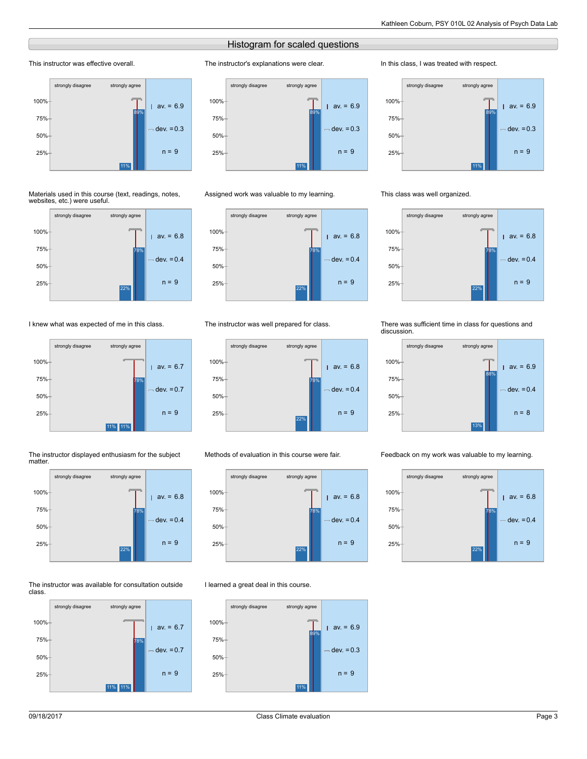# Histogram for scaled questions

The instructor's explanations were clear.

strongly disagree strongly agree

# This instructor was effective overall.



#### Materials used in this course (text, readings, notes, websites, etc.) were useful.



# I knew what was expected of me in this class.



#### The instructor displayed enthusiasm for the subject matter.



#### The instructor was available for consultation outside class.







## The instructor was well prepared for class.



# Methods of evaluation in this course were fair.



# I learned a great deal in this course.



### In this class, I was treated with respect.



## This class was well organized.



#### There was sufficient time in class for questions and discussion.



### Feedback on my work was valuable to my learning.

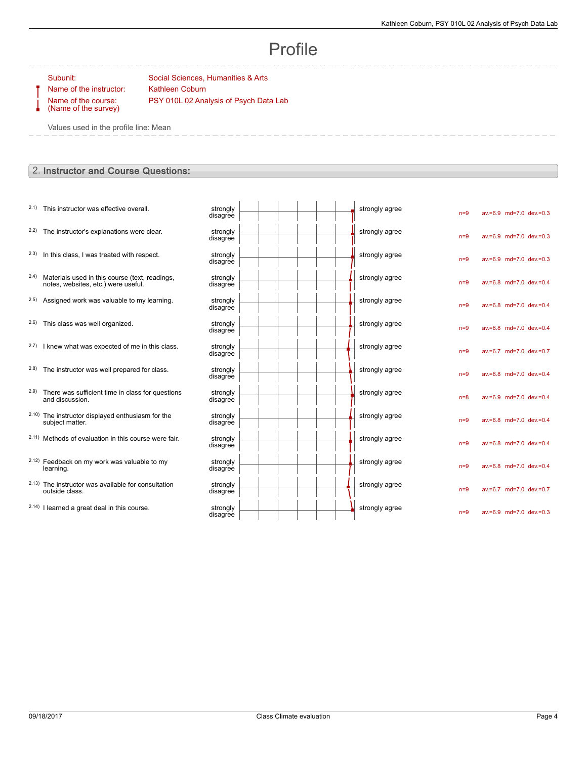# Profile

Name of the instructor: Kathleen Coburn Name of the course: (Name of the survey)

Subunit: Social Sciences, Humanities & Arts PSY 010L 02 Analysis of Psych Data Lab

Values used in the profile line: Mean

# 2. Instructor and Course Questions:

|       | 2.1) This instructor was effective overall.                                                | strongly             |  |  |  | strongly agree |       |                         |  |
|-------|--------------------------------------------------------------------------------------------|----------------------|--|--|--|----------------|-------|-------------------------|--|
|       |                                                                                            | disagree             |  |  |  |                | $n=9$ | av.=6.9 md=7.0 dev.=0.3 |  |
| 2.2)  | The instructor's explanations were clear.                                                  | strongly<br>disagree |  |  |  | strongly agree | $n=9$ | av.=6.9 md=7.0 dev.=0.3 |  |
| 2.3)  | In this class, I was treated with respect.                                                 | strongly<br>disagree |  |  |  | strongly agree | $n=9$ | av.=6.9 md=7.0 dev.=0.3 |  |
|       | 2.4) Materials used in this course (text, readings,<br>notes, websites, etc.) were useful. | strongly<br>disagree |  |  |  | strongly agree | $n=9$ | av.=6.8 md=7.0 dev.=0.4 |  |
|       | 2.5) Assigned work was valuable to my learning.                                            | strongly<br>disagree |  |  |  | strongly agree | $n=9$ | av.=6.8 md=7.0 dev.=0.4 |  |
|       | 2.6) This class was well organized.                                                        | strongly<br>disagree |  |  |  | strongly agree | $n=9$ | av.=6.8 md=7.0 dev.=0.4 |  |
|       | 2.7) I knew what was expected of me in this class.                                         | strongly<br>disagree |  |  |  | strongly agree | $n=9$ | av.=6.7 md=7.0 dev.=0.7 |  |
| (2.8) | The instructor was well prepared for class.                                                | strongly<br>disagree |  |  |  | strongly agree | $n=9$ | av.=6.8 md=7.0 dev.=0.4 |  |
| (2.9) | There was sufficient time in class for questions<br>and discussion.                        | strongly<br>disagree |  |  |  | strongly agree | $n=8$ | av.=6.9 md=7.0 dev.=0.4 |  |
|       | 2.10) The instructor displayed enthusiasm for the<br>subject matter.                       | strongly<br>disagree |  |  |  | strongly agree | $n=9$ | av.=6.8 md=7.0 dev.=0.4 |  |
|       | 2.11) Methods of evaluation in this course were fair.                                      | strongly<br>disagree |  |  |  | strongly agree | $n=9$ | av.=6.8 md=7.0 dev.=0.4 |  |
|       | 2.12) Feedback on my work was valuable to my<br>learning.                                  | strongly<br>disagree |  |  |  | strongly agree | $n=9$ | av.=6.8 md=7.0 dev.=0.4 |  |
|       | 2.13) The instructor was available for consultation<br>outside class.                      | strongly<br>disagree |  |  |  | strongly agree | $n=9$ | av.=6.7 md=7.0 dev.=0.7 |  |
|       | 2.14) I learned a great deal in this course.                                               | strongly<br>disagree |  |  |  | strongly agree | $n=9$ | av.=6.9 md=7.0 dev.=0.3 |  |
|       |                                                                                            |                      |  |  |  |                |       |                         |  |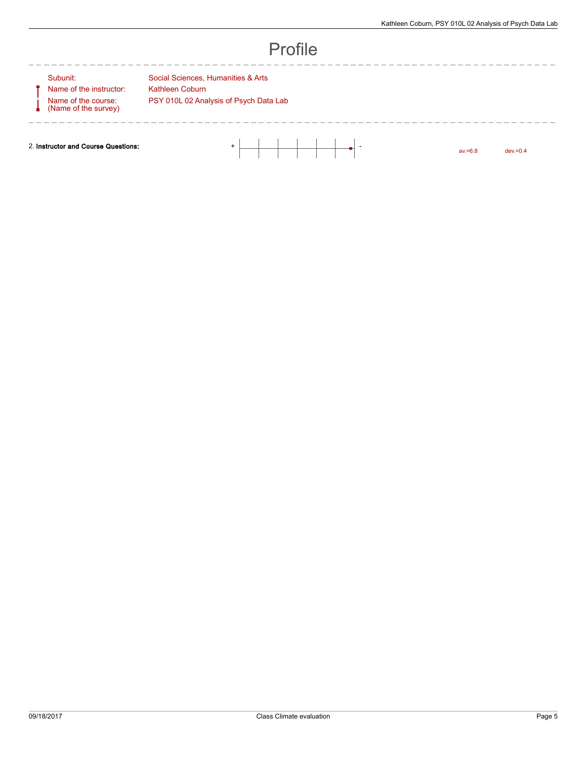---------------

| ı<br>П. |  |
|---------|--|
|---------|--|

-----------

 $\overline{\phantom{0}}$ 

Name of the course: (Name of the survey)

- - - - - - - - - - - -

Subunit: Subunit: Social Sciences, Humanities & Arts Name of the instructor: Kathleen Coburn PSY 010L 02 Analysis of Psych Data Lab

 $- - - - - -$ 

2. Instructor and Course Questions: + -

av.=6.8 dev.=0.4